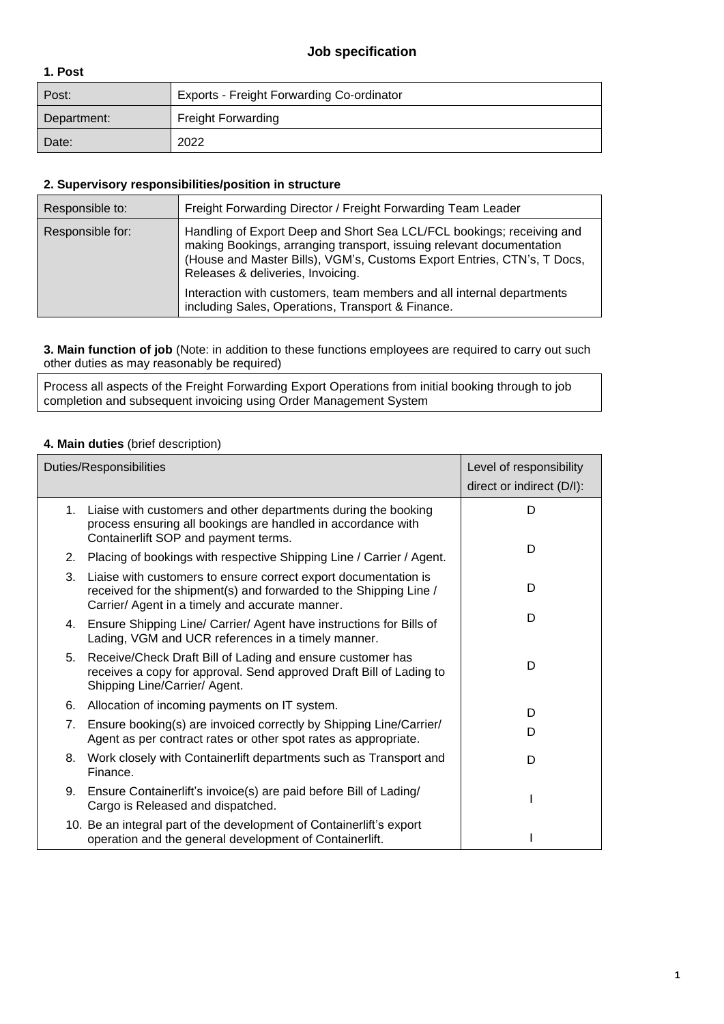### **Job specification**

#### **1. Post**

| Post:       | Exports - Freight Forwarding Co-ordinator |  |
|-------------|-------------------------------------------|--|
| Department: | <b>Freight Forwarding</b>                 |  |
| Date:       | 2022                                      |  |

#### **2. Supervisory responsibilities/position in structure**

| Responsible to:  | Freight Forwarding Director / Freight Forwarding Team Leader                                                                                                                                                                                                  |
|------------------|---------------------------------------------------------------------------------------------------------------------------------------------------------------------------------------------------------------------------------------------------------------|
| Responsible for: | Handling of Export Deep and Short Sea LCL/FCL bookings; receiving and<br>making Bookings, arranging transport, issuing relevant documentation<br>(House and Master Bills), VGM's, Customs Export Entries, CTN's, T Docs,<br>Releases & deliveries, Invoicing. |
|                  | Interaction with customers, team members and all internal departments<br>including Sales, Operations, Transport & Finance.                                                                                                                                    |

**3. Main function of job** (Note: in addition to these functions employees are required to carry out such other duties as may reasonably be required)

Process all aspects of the Freight Forwarding Export Operations from initial booking through to job completion and subsequent invoicing using Order Management System

#### **4. Main duties** (brief description)

|    | <b>Duties/Responsibilities</b>                                                                                                                                                          | Level of responsibility<br>direct or indirect (D/I): |
|----|-----------------------------------------------------------------------------------------------------------------------------------------------------------------------------------------|------------------------------------------------------|
|    | 1. Liaise with customers and other departments during the booking<br>process ensuring all bookings are handled in accordance with<br>Containerlift SOP and payment terms.               | D                                                    |
|    | 2. Placing of bookings with respective Shipping Line / Carrier / Agent.                                                                                                                 | D                                                    |
| 3. | Liaise with customers to ensure correct export documentation is<br>received for the shipment(s) and forwarded to the Shipping Line /<br>Carrier/ Agent in a timely and accurate manner. | D                                                    |
|    | 4. Ensure Shipping Line/ Carrier/ Agent have instructions for Bills of<br>Lading, VGM and UCR references in a timely manner.                                                            | D                                                    |
| 5. | Receive/Check Draft Bill of Lading and ensure customer has<br>receives a copy for approval. Send approved Draft Bill of Lading to<br>Shipping Line/Carrier/ Agent.                      | D                                                    |
| 6. | Allocation of incoming payments on IT system.                                                                                                                                           | D                                                    |
| 7. | Ensure booking(s) are invoiced correctly by Shipping Line/Carrier/<br>Agent as per contract rates or other spot rates as appropriate.                                                   | D                                                    |
| 8. | Work closely with Containerlift departments such as Transport and<br>Finance.                                                                                                           | D                                                    |
|    | 9. Ensure Containerlift's invoice(s) are paid before Bill of Lading/<br>Cargo is Released and dispatched.                                                                               |                                                      |
|    | 10. Be an integral part of the development of Containerlift's export<br>operation and the general development of Containerlift.                                                         |                                                      |